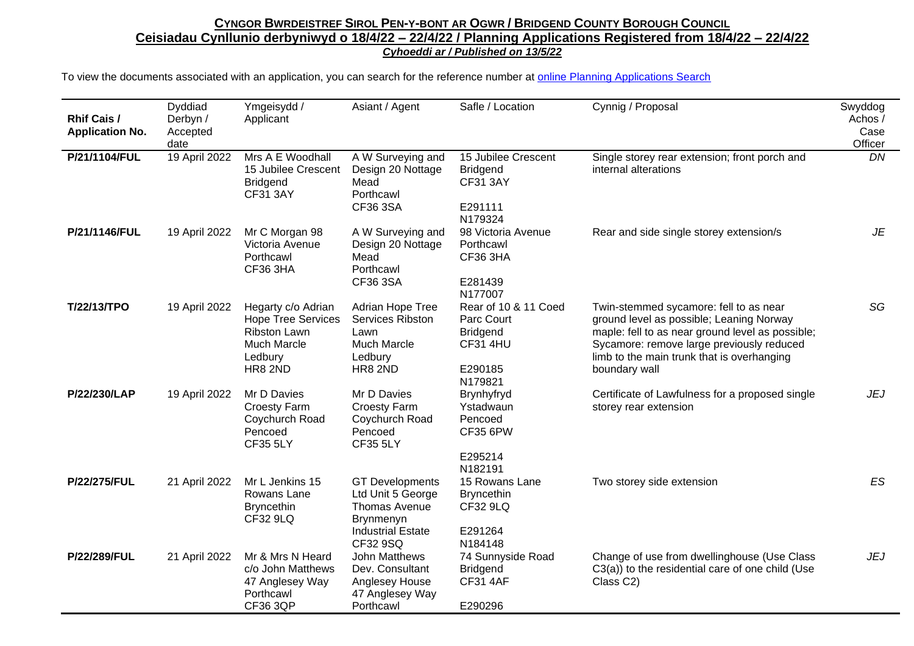## CYNGOR BWRDEISTREF SIROL PEN-Y-BONT AR OGWR / BRIDGEND COUNTY BOROUGH COUNCIL **Ceisiadau Cynllunio derbyniwyd o 18/4/22 – 22/4/22 / Planning Applications Registered from 18/4/22 – 22/4/22** *Cyhoeddi ar / Published on 13/5/22*

To view the documents associated with an application, you can search for the reference number at [online Planning Applications Search](http://planning.bridgend.gov.uk/)

| <b>Rhif Cais /</b><br><b>Application No.</b> | Dyddiad<br>Derbyn /<br>Accepted<br>date | Ymgeisydd /<br>Applicant                                                                                                  | Asiant / Agent                                                                                                                  | Safle / Location                                                                               | Cynnig / Proposal                                                                                                                                                                                                                                  | Swyddog<br>Achos /<br>Case<br>Officer |
|----------------------------------------------|-----------------------------------------|---------------------------------------------------------------------------------------------------------------------------|---------------------------------------------------------------------------------------------------------------------------------|------------------------------------------------------------------------------------------------|----------------------------------------------------------------------------------------------------------------------------------------------------------------------------------------------------------------------------------------------------|---------------------------------------|
| P/21/1104/FUL                                | 19 April 2022                           | Mrs A E Woodhall<br>15 Jubilee Crescent<br><b>Bridgend</b><br><b>CF31 3AY</b>                                             | A W Surveying and<br>Design 20 Nottage<br>Mead<br>Porthcawl<br>CF36 3SA                                                         | 15 Jubilee Crescent<br><b>Bridgend</b><br><b>CF31 3AY</b><br>E291111<br>N179324                | Single storey rear extension; front porch and<br>internal alterations                                                                                                                                                                              | DN                                    |
| P/21/1146/FUL                                | 19 April 2022                           | Mr C Morgan 98<br>Victoria Avenue<br>Porthcawl<br>CF36 3HA                                                                | A W Surveying and<br>Design 20 Nottage<br>Mead<br>Porthcawl<br>CF36 3SA                                                         | 98 Victoria Avenue<br>Porthcawl<br><b>CF36 3HA</b><br>E281439<br>N177007                       | Rear and side single storey extension/s                                                                                                                                                                                                            | JE                                    |
| T/22/13/TPO                                  | 19 April 2022                           | Hegarty c/o Adrian<br><b>Hope Tree Services</b><br><b>Ribston Lawn</b><br><b>Much Marcle</b><br>Ledbury<br><b>HR8 2ND</b> | Adrian Hope Tree<br>Services Ribston<br>Lawn<br><b>Much Marcle</b><br>Ledbury<br><b>HR8 2ND</b>                                 | Rear of 10 & 11 Coed<br>Parc Court<br><b>Bridgend</b><br><b>CF31 4HU</b><br>E290185<br>N179821 | Twin-stemmed sycamore: fell to as near<br>ground level as possible; Leaning Norway<br>maple: fell to as near ground level as possible;<br>Sycamore: remove large previously reduced<br>limb to the main trunk that is overhanging<br>boundary wall | SG                                    |
| P/22/230/LAP                                 | 19 April 2022                           | Mr D Davies<br><b>Croesty Farm</b><br>Coychurch Road<br>Pencoed<br><b>CF35 5LY</b>                                        | Mr D Davies<br><b>Croesty Farm</b><br>Coychurch Road<br>Pencoed<br><b>CF35 5LY</b>                                              | Brynhyfryd<br>Ystadwaun<br>Pencoed<br><b>CF35 6PW</b><br>E295214<br>N182191                    | Certificate of Lawfulness for a proposed single<br>storey rear extension                                                                                                                                                                           | <b>JEJ</b>                            |
| P/22/275/FUL                                 | 21 April 2022                           | Mr L Jenkins 15<br>Rowans Lane<br><b>Bryncethin</b><br><b>CF32 9LQ</b>                                                    | <b>GT Developments</b><br>Ltd Unit 5 George<br><b>Thomas Avenue</b><br><b>Brynmenyn</b><br><b>Industrial Estate</b><br>CF32 9SQ | 15 Rowans Lane<br><b>Bryncethin</b><br>CF32 9LQ<br>E291264<br>N184148                          | Two storey side extension                                                                                                                                                                                                                          | ES                                    |
| P/22/289/FUL                                 | 21 April 2022                           | Mr & Mrs N Heard<br>c/o John Matthews<br>47 Anglesey Way<br>Porthcawl<br><b>CF36 3QP</b>                                  | John Matthews<br>Dev. Consultant<br>Anglesey House<br>47 Anglesey Way<br>Porthcawl                                              | 74 Sunnyside Road<br><b>Bridgend</b><br><b>CF31 4AF</b><br>E290296                             | Change of use from dwellinghouse (Use Class<br>C3(a)) to the residential care of one child (Use<br>Class C2)                                                                                                                                       | <b>JEJ</b>                            |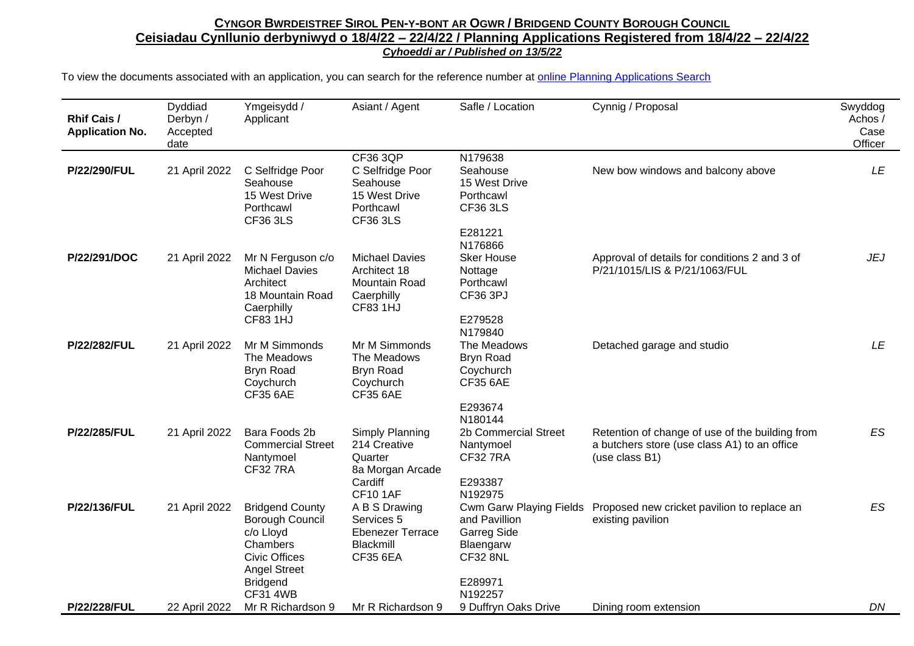## CYNGOR BWRDEISTREF SIROL PEN-Y-BONT AR OGWR / BRIDGEND COUNTY BOROUGH COUNCIL **Ceisiadau Cynllunio derbyniwyd o 18/4/22 – 22/4/22 / Planning Applications Registered from 18/4/22 – 22/4/22** *Cyhoeddi ar / Published on 13/5/22*

To view the documents associated with an application, you can search for the reference number at [online Planning Applications Search](http://planning.bridgend.gov.uk/)

| Rhif Cais /<br><b>Application No.</b> | Dyddiad<br>Derbyn /<br>Accepted<br>date | Ymgeisydd /<br>Applicant                                                                                          | Asiant / Agent                                                                          | Safle / Location                                                                               | Cynnig / Proposal                                                                                                 | Swyddog<br>Achos/<br>Case<br>Officer |
|---------------------------------------|-----------------------------------------|-------------------------------------------------------------------------------------------------------------------|-----------------------------------------------------------------------------------------|------------------------------------------------------------------------------------------------|-------------------------------------------------------------------------------------------------------------------|--------------------------------------|
| P/22/290/FUL                          | 21 April 2022                           | C Selfridge Poor<br>Seahouse<br>15 West Drive<br>Porthcawl<br><b>CF36 3LS</b>                                     | CF36 3QP<br>C Selfridge Poor<br>Seahouse<br>15 West Drive<br>Porthcawl<br>CF36 3LS      | N179638<br>Seahouse<br>15 West Drive<br>Porthcawl<br><b>CF36 3LS</b>                           | New bow windows and balcony above                                                                                 | LE                                   |
|                                       |                                         |                                                                                                                   |                                                                                         | E281221<br>N176866                                                                             |                                                                                                                   |                                      |
| P/22/291/DOC                          | 21 April 2022                           | Mr N Ferguson c/o<br><b>Michael Davies</b><br>Architect<br>18 Mountain Road<br>Caerphilly                         | <b>Michael Davies</b><br>Architect 18<br>Mountain Road<br>Caerphilly<br><b>CF83 1HJ</b> | <b>Sker House</b><br>Nottage<br>Porthcawl<br>CF36 3PJ                                          | Approval of details for conditions 2 and 3 of<br>P/21/1015/LIS & P/21/1063/FUL                                    | JEJ                                  |
|                                       |                                         | <b>CF83 1HJ</b>                                                                                                   |                                                                                         | E279528<br>N179840                                                                             |                                                                                                                   |                                      |
| P/22/282/FUL                          | 21 April 2022                           | Mr M Simmonds<br>The Meadows<br><b>Bryn Road</b><br>Coychurch<br><b>CF35 6AE</b>                                  | Mr M Simmonds<br>The Meadows<br><b>Bryn Road</b><br>Coychurch<br><b>CF35 6AE</b>        | The Meadows<br><b>Bryn Road</b><br>Coychurch<br><b>CF35 6AE</b>                                | Detached garage and studio                                                                                        | LE                                   |
|                                       |                                         |                                                                                                                   |                                                                                         | E293674<br>N180144                                                                             |                                                                                                                   |                                      |
| P/22/285/FUL                          | 21 April 2022                           | Bara Foods 2b<br><b>Commercial Street</b><br>Nantymoel<br><b>CF327RA</b>                                          | Simply Planning<br>214 Creative<br>Quarter<br>8a Morgan Arcade                          | 2b Commercial Street<br>Nantymoel<br><b>CF32 7RA</b>                                           | Retention of change of use of the building from<br>a butchers store (use class A1) to an office<br>(use class B1) | ES                                   |
|                                       |                                         |                                                                                                                   | Cardiff<br><b>CF10 1AF</b>                                                              | E293387<br>N192975                                                                             |                                                                                                                   |                                      |
| P/22/136/FUL                          | 21 April 2022                           | <b>Bridgend County</b><br>Borough Council<br>c/o Lloyd<br>Chambers<br><b>Civic Offices</b><br><b>Angel Street</b> | A B S Drawing<br>Services 5<br><b>Ebenezer Terrace</b><br>Blackmill<br><b>CF35 6EA</b>  | Cwm Garw Playing Fields<br>and Pavillion<br><b>Garreg Side</b><br>Blaengarw<br><b>CF32 8NL</b> | Proposed new cricket pavilion to replace an<br>existing pavilion                                                  | <b>ES</b>                            |
|                                       |                                         | <b>Bridgend</b><br><b>CF31 4WB</b>                                                                                |                                                                                         | E289971<br>N192257                                                                             |                                                                                                                   |                                      |
| P/22/228/FUL                          | 22 April 2022                           | Mr R Richardson 9                                                                                                 | Mr R Richardson 9                                                                       | 9 Duffryn Oaks Drive                                                                           | Dining room extension                                                                                             | DN                                   |